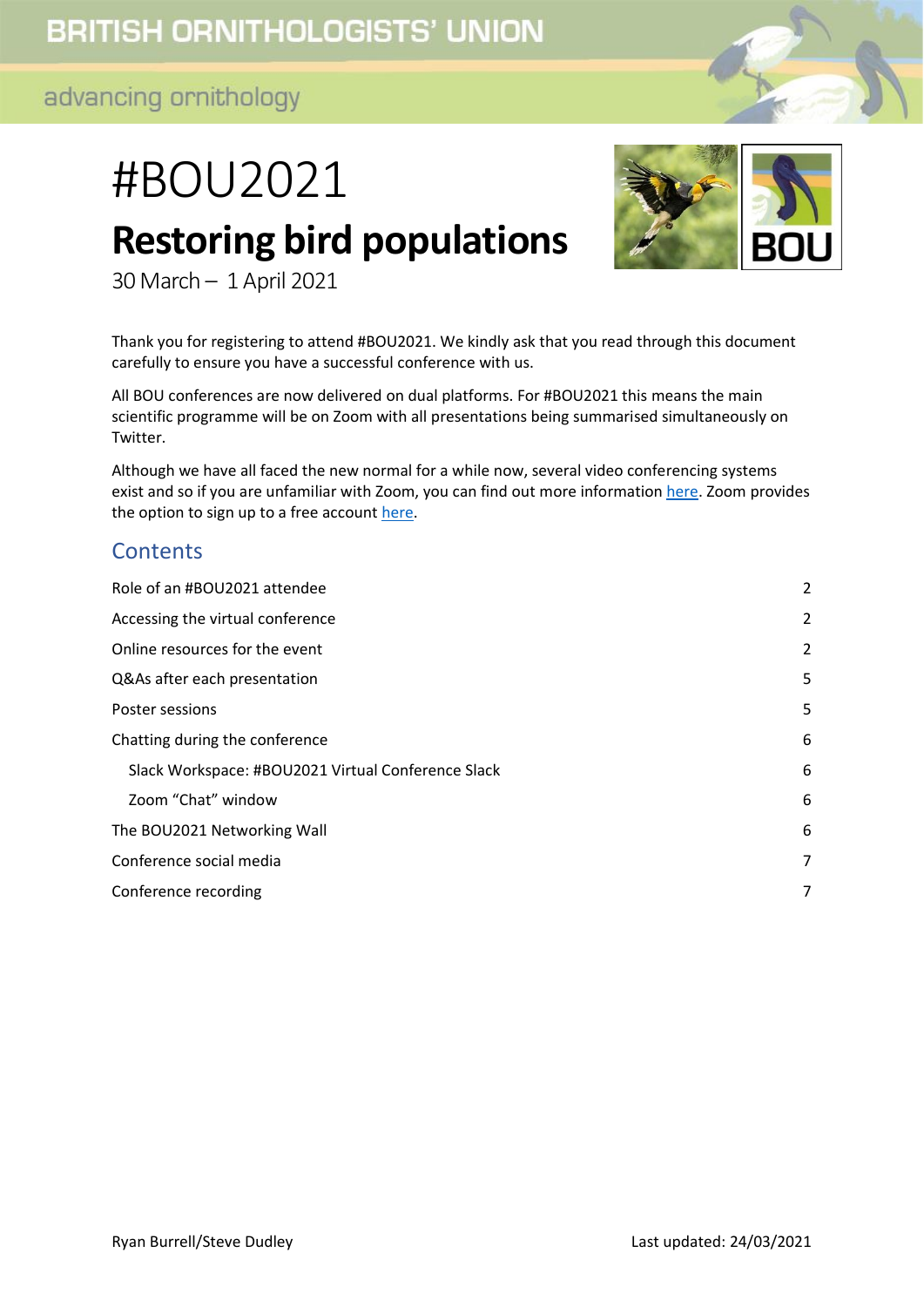# #BOU2021 **Restoring bird populations**



30 March – 1 April 2021

Thank you for registering to attend #BOU2021. We kindly ask that you read through this document carefully to ensure you have a successful conference with us.

All BOU conferences are now delivered on dual platforms. For #BOU2021 this means the main scientific programme will be on Zoom with all presentations being summarised simultaneously on Twitter.

Although we have all faced the new normal for a while now, several video conferencing systems exist and so if you are unfamiliar with Zoom, you can find out more information [here.](https://support.zoom.us/hc/en-us/categories/200101697-Getting-Started) Zoom provides the option to sign up to a free account [here.](https://zoom.us/pricing)

#### **Contents**

<span id="page-0-0"></span>

| Role of an #BOU2021 attendee                       | $\overline{2}$ |
|----------------------------------------------------|----------------|
| Accessing the virtual conference                   | 2              |
| Online resources for the event                     | 2              |
| Q&As after each presentation                       | 5              |
| Poster sessions                                    | 5              |
| Chatting during the conference                     | 6              |
| Slack Workspace: #BOU2021 Virtual Conference Slack | 6              |
| Zoom "Chat" window                                 | 6              |
| The BOU2021 Networking Wall                        | 6              |
| Conference social media                            | 7              |
| Conference recording                               | 7              |
|                                                    |                |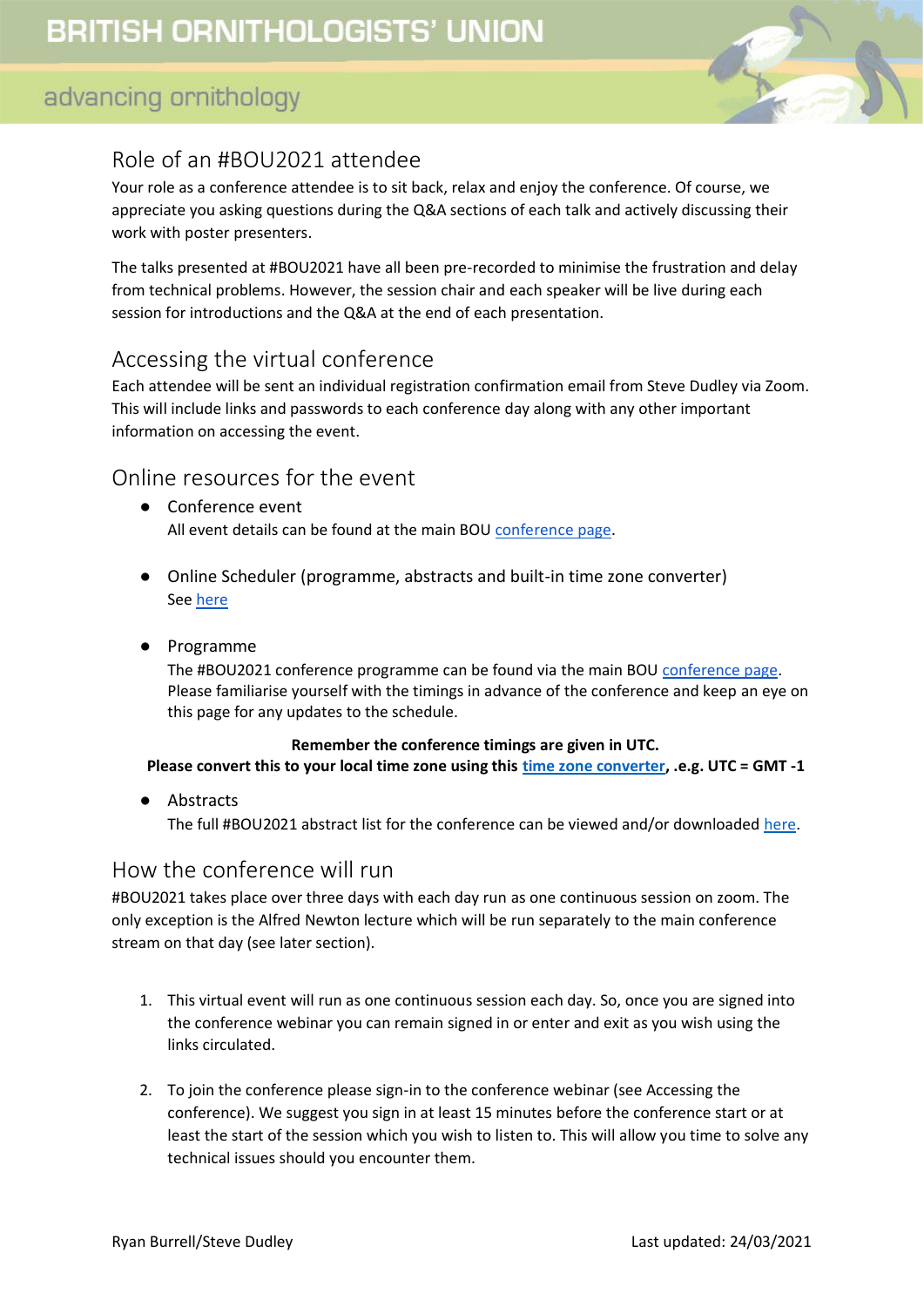

## Role of an #BOU2021 attendee

Your role as a conference attendee is to sit back, relax and enjoy the conference. Of course, we appreciate you asking questions during the Q&A sections of each talk and actively discussing their work with poster presenters.

The talks presented at #BOU2021 have all been pre-recorded to minimise the frustration and delay from technical problems. However, the session chair and each speaker will be live during each session for introductions and the Q&A at the end of each presentation.

#### <span id="page-1-0"></span>Accessing the virtual conference

Each attendee will be sent an individual registration confirmation email from Steve Dudley via Zoom. This will include links and passwords to each conference day along with any other important information on accessing the event.

#### <span id="page-1-1"></span>Online resources for the event

- Conference event All event details can be found at the main BOU [conference page.](https://bou.org.uk/conferences-and-meetings/bou2021-resources/)
- Online Scheduler (programme, abstracts and built-in time zone converter) Se[e here](https://bouibis.shinyapps.io/BOU2021_Scheduler-master/)
- Programme

The #BOU2021 conference programme can be found via the main BOU [conference page.](https://bou.org.uk/conferences-and-meetings/bou2021-resources/) Please familiarise yourself with the timings in advance of the conference and keep an eye on this page for any updates to the schedule.

#### **Remember the conference timings are given in UTC.**

**Please convert this to your local time zone using this [time zone converter,](https://www.timeanddate.com/worldclock/converter.html) .e.g. UTC = GMT -1**

● Abstracts

The full #BOU2021 abstract list for the conference can be viewed and/or downloaded [here.](https://bou.org.uk/wp-content/uploads/2021/01/BOU2021-abstracts-alphabetical-order-2021-01-25.pdf)

#### How the conference will run

#BOU2021 takes place over three days with each day run as one continuous session on zoom. The only exception is the Alfred Newton lecture which will be run separately to the main conference stream on that day (see later section).

- 1. This virtual event will run as one continuous session each day. So, once you are signed into the conference webinar you can remain signed in or enter and exit as you wish using the links circulated.
- 2. To join the conference please sign-in to the conference webinar (see Accessing the conference). We suggest you sign in at least 15 minutes before the conference start or at least the start of the session which you wish to listen to. This will allow you time to solve any technical issues should you encounter them.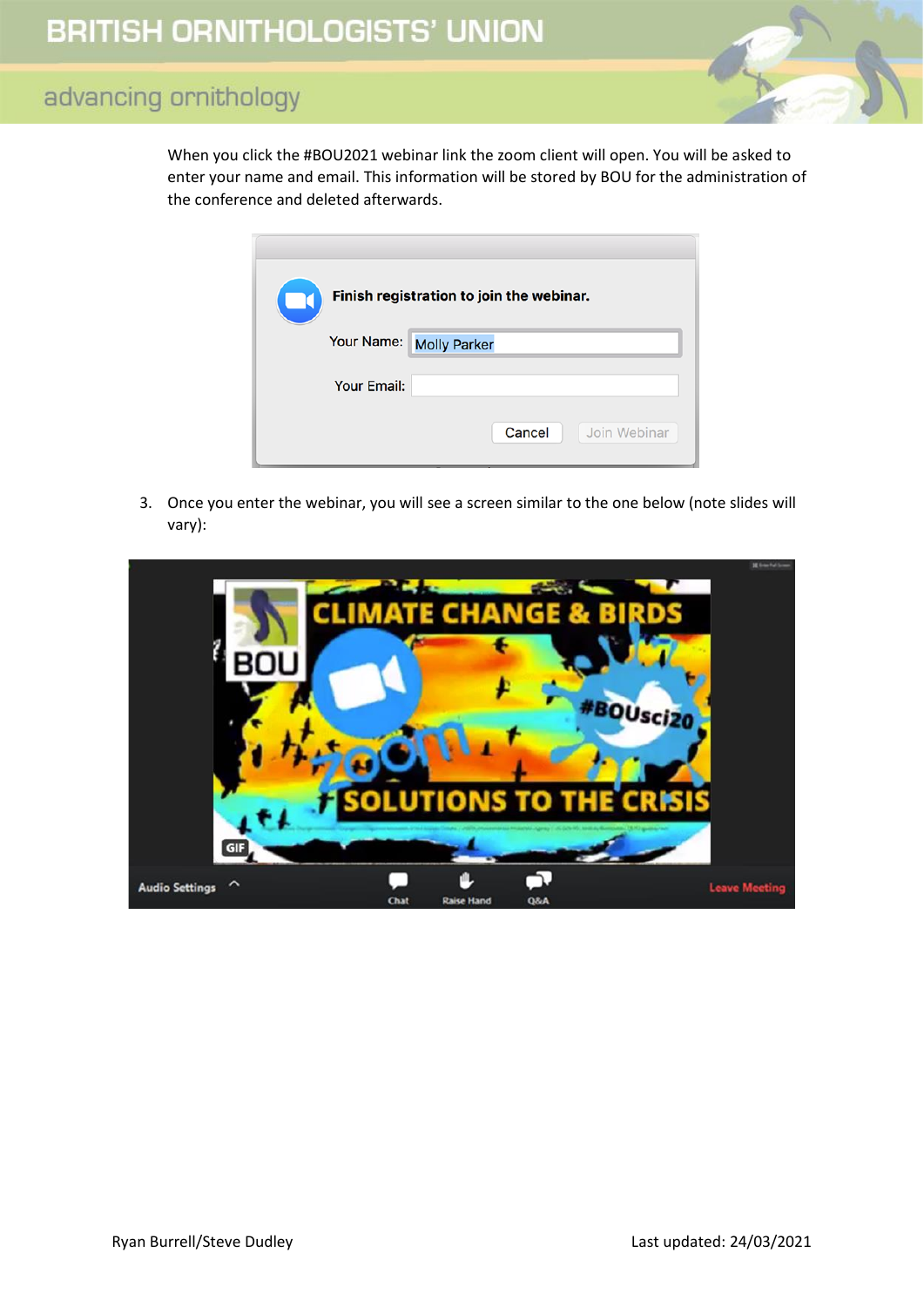When you click the #BOU2021 webinar link the zoom client will open. You will be asked to enter your name and email. This information will be stored by BOU for the administration of the conference and deleted afterwards.

| Finish registration to join the webinar. |                         |        |              |
|------------------------------------------|-------------------------|--------|--------------|
|                                          | Your Name: Molly Parker |        |              |
|                                          | <b>Your Email:</b>      |        |              |
|                                          |                         | Cancel | Join Webinar |

3. Once you enter the webinar, you will see a screen similar to the one below (note slides will vary):

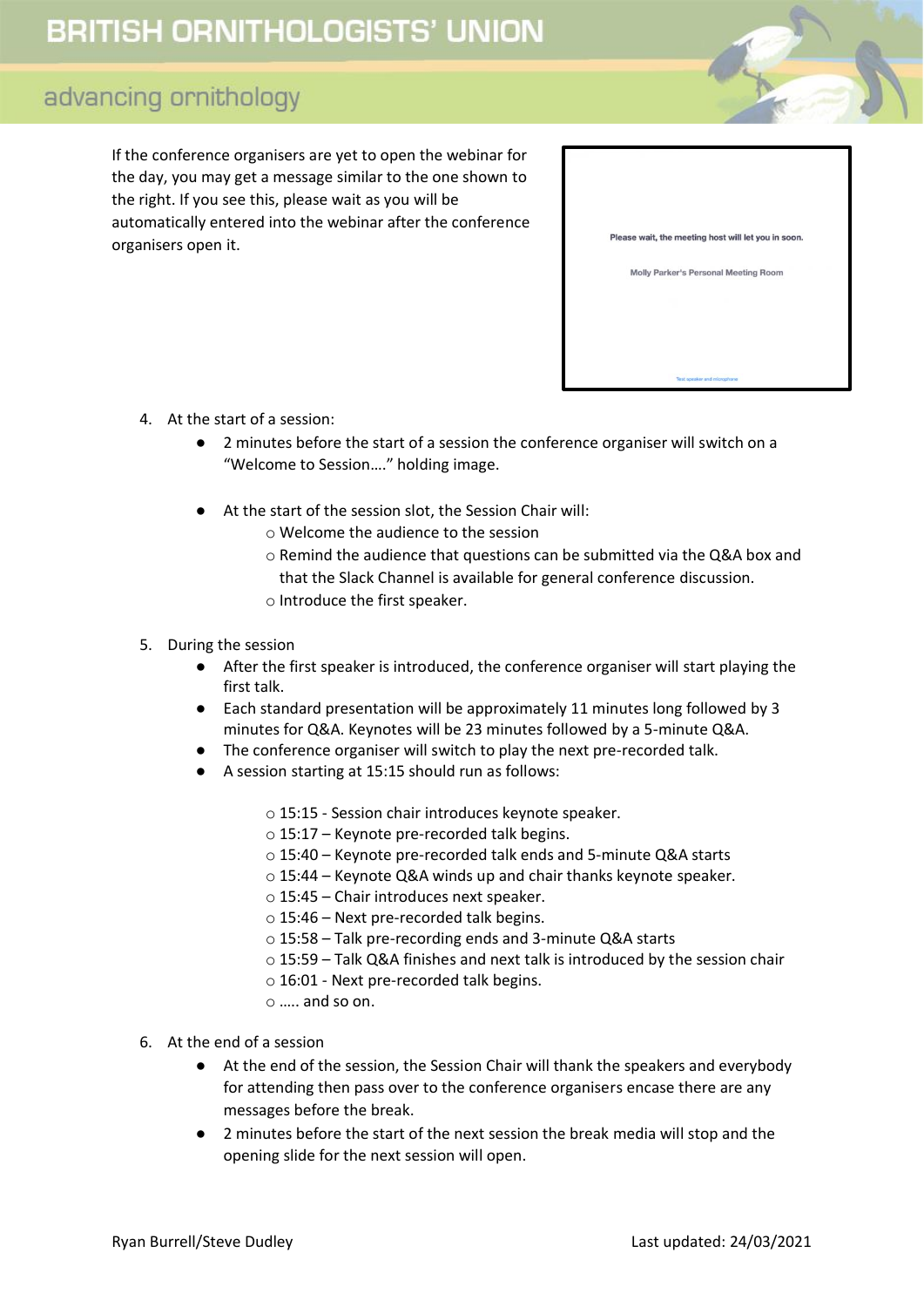# **BRITISH ORNITHOLOGISTS' UNION**

## advancing ornithology

If the conference organisers are yet to open the webinar for the day, you may get a message similar to the one shown to the right. If you see this, please wait as you will be automatically entered into the webinar after the conference organisers open it.

| Please wait, the meeting host will let you in soon. |
|-----------------------------------------------------|
| Molly Parker's Personal Meeting Room                |
|                                                     |
|                                                     |
|                                                     |
|                                                     |
| Test speaker and microphone                         |

- 4. At the start of a session:
	- 2 minutes before the start of a session the conference organiser will switch on a "Welcome to Session…." holding image.
	- At the start of the session slot, the Session Chair will:
		- o Welcome the audience to the session
		- o Remind the audience that questions can be submitted via the Q&A box and that the Slack Channel is available for general conference discussion.
		- o Introduce the first speaker.

#### 5. During the session

- After the first speaker is introduced, the conference organiser will start playing the first talk.
- Each standard presentation will be approximately 11 minutes long followed by 3 minutes for Q&A. Keynotes will be 23 minutes followed by a 5-minute Q&A.
- The conference organiser will switch to play the next pre-recorded talk.
- A session starting at 15:15 should run as follows:
	- o 15:15 Session chair introduces keynote speaker.
	- o 15:17 Keynote pre-recorded talk begins.
	- o 15:4️0 Keynote pre-recorded talk ends and 5-minute Q&A starts
	- o 15:44 Keynote Q&A winds up and chair thanks keynote speaker.
	- o 15:45 Chair introduces next speaker.
	- o 15:46 Next pre-recorded talk begins.
	- o 15:58 Talk pre-recording ends and 3-minute Q&A starts
	- o 15:59 Talk Q&A finishes and next talk is introduced by the session chair
	- o 16:01 Next pre-recorded talk begins.
	- $\circ$  ..... and so on.
- 6. At the end of a session
	- At the end of the session, the Session Chair will thank the speakers and everybody for attending then pass over to the conference organisers encase there are any messages before the break.
	- 2 minutes before the start of the next session the break media will stop and the opening slide for the next session will open.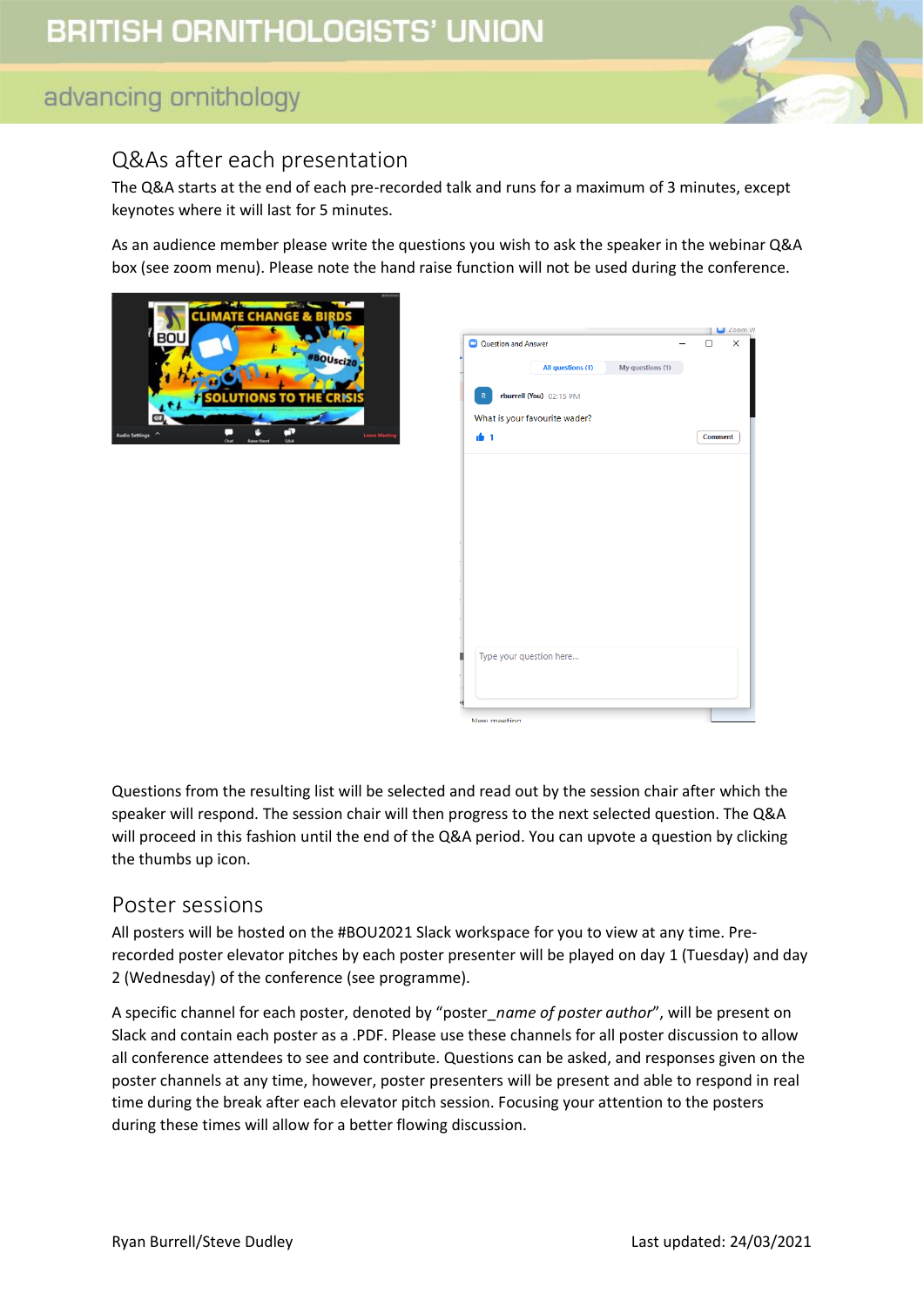

## <span id="page-4-0"></span>Q&As after each presentation

The Q&A starts at the end of each pre-recorded talk and runs for a maximum of 3 minutes, except keynotes where it will last for 5 minutes.

As an audience member please write the questions you wish to ask the speaker in the webinar Q&A box (see zoom menu). Please note the hand raise function will not be used during the conference.





Questions from the resulting list will be selected and read out by the session chair after which the speaker will respond. The session chair will then progress to the next selected question. The Q&A will proceed in this fashion until the end of the Q&A period. You can upvote a question by clicking the thumbs up icon.

#### <span id="page-4-1"></span>Poster sessions

All posters will be hosted on the #BOU2021 Slack workspace for you to view at any time. Prerecorded poster elevator pitches by each poster presenter will be played on day 1 (Tuesday) and day 2 (Wednesday) of the conference (see programme).

A specific channel for each poster, denoted by "poster\_*name of poster author*", will be present on Slack and contain each poster as a .PDF. Please use these channels for all poster discussion to allow all conference attendees to see and contribute. Questions can be asked, and responses given on the poster channels at any time, however, poster presenters will be present and able to respond in real time during the break after each elevator pitch session. Focusing your attention to the posters during these times will allow for a better flowing discussion.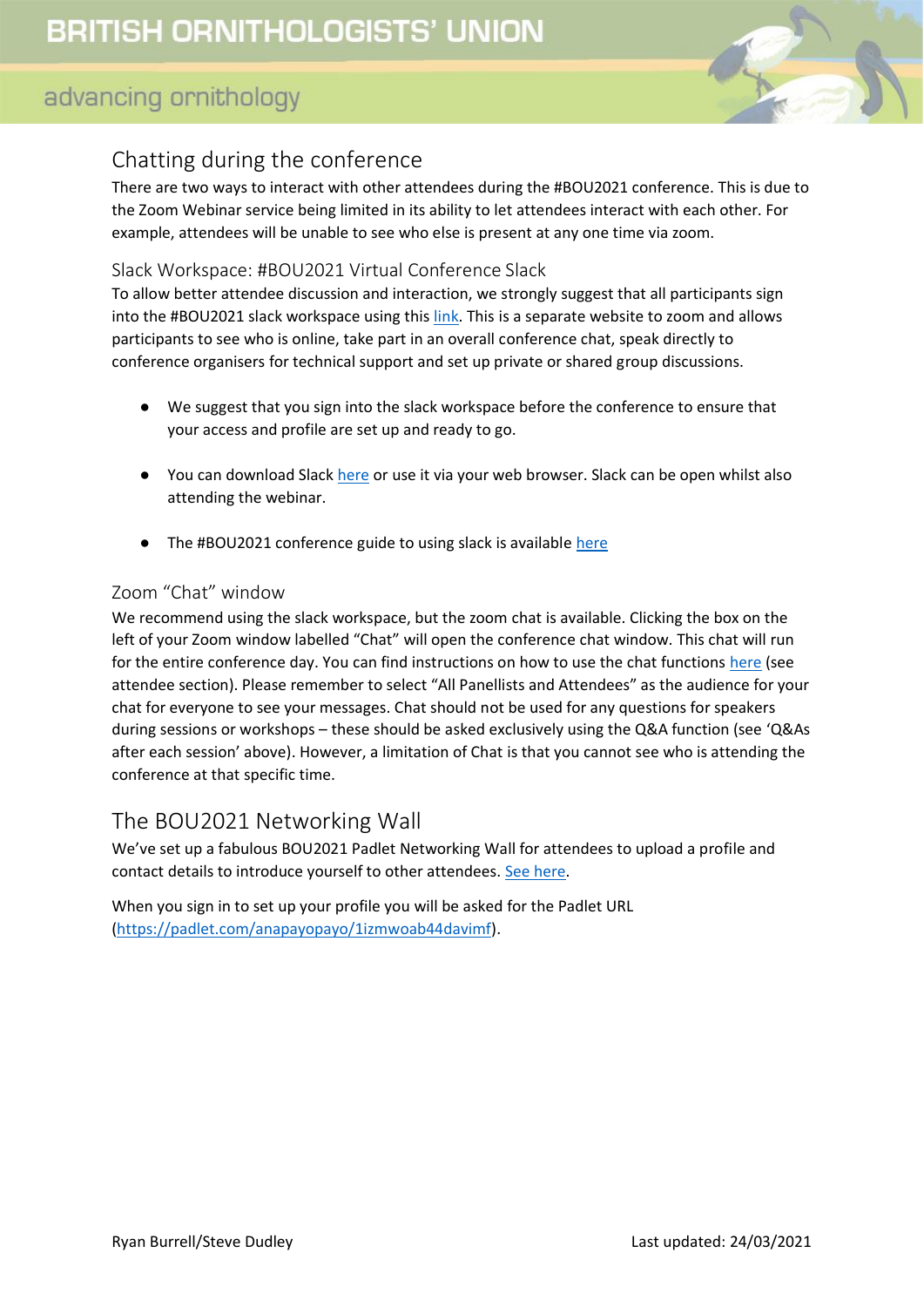

## <span id="page-5-0"></span>Chatting during the conference

There are two ways to interact with other attendees during the #BOU2021 conference. This is due to the Zoom Webinar service being limited in its ability to let attendees interact with each other. For example, attendees will be unable to see who else is present at any one time via zoom.

#### <span id="page-5-1"></span>Slack Workspace: #BOU2021 Virtual Conference Slack

To allow better attendee discussion and interaction, we strongly suggest that all participants sign into the #BOU2021 slack workspace using this [link.](http://bit.ly/BOU2021slack) This is a separate website to zoom and allows participants to see who is online, take part in an overall conference chat, speak directly to conference organisers for technical support and set up private or shared group discussions.

- We suggest that you sign into the slack workspace before the conference to ensure that your access and profile are set up and ready to go.
- You can download Slac[k here](https://slack.com/intl/en-gb/help/categories/360000049043) or use it via your web browser. Slack can be open whilst also attending the webinar.
- The #BOU2021 conference guide to using slack is available [here](https://drive.google.com/file/d/1Y9vWHAqH-3QcBSi2pPEYc7t_Gs0O_Pn8/view?usp=sharing)

#### <span id="page-5-2"></span>Zoom "Chat" window

We recommend using the slack workspace, but the zoom chat is available. Clicking the box on the left of your Zoom window labelled "Chat" will open the conference chat window. This chat will run for the entire conference day. You can find instructions on how to use the chat functions [here](https://support.zoom.us/hc/en-us/articles/205761999-Using-webinar-chat) (see attendee section). Please remember to select "All Panellists and Attendees" as the audience for your chat for everyone to see your messages. Chat should not be used for any questions for speakers during sessions or workshops – these should be asked exclusively using the Q&A function (see 'Q&As after each session' above). However, a limitation of Chat is that you cannot see who is attending the conference at that specific time.

#### <span id="page-5-3"></span>The BOU2021 Networking Wall

We've set up a fabulous BOU2021 Padlet Networking Wall for attendees to upload a profile and contact details to introduce yourself to other attendees. [See here.](https://padlet.com/anapayopayo/1izmwoab44davimf)

When you sign in to set up your profile you will be asked for the Padlet URL [\(https://padlet.com/anapayopayo/1izmwoab44davimf\)](https://padlet.com/anapayopayo/1izmwoab44davimf).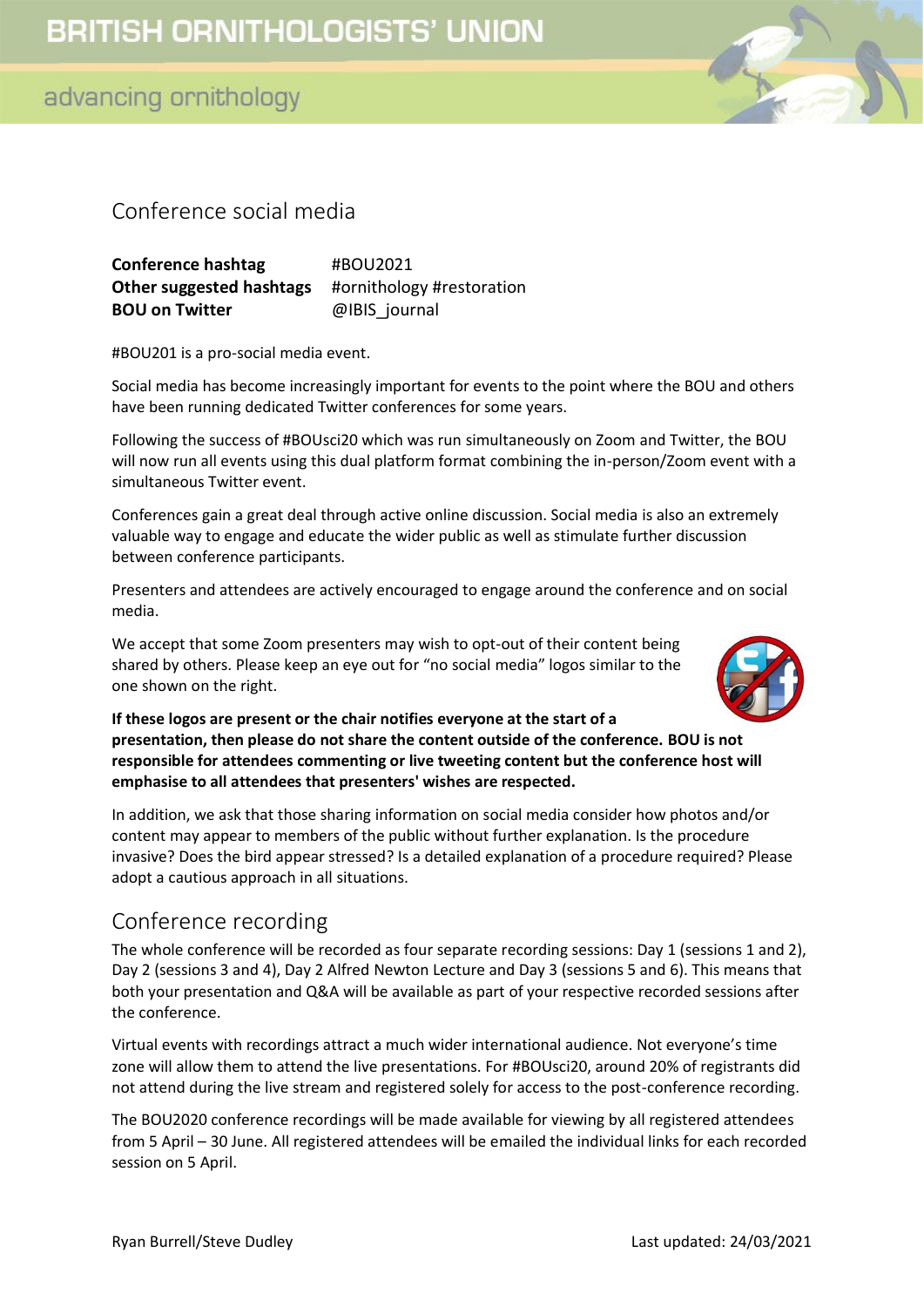## <span id="page-6-0"></span>Conference social media

**Conference hashtag** #BOU2021 **Other suggested hashtags** #ornithology #restoration **BOU on Twitter** @IBIS\_journal

#BOU201 is a pro-social media event.

Social media has become increasingly important for events to the point where the BOU and others have been running dedicated Twitter conferences for some years.

Following the success of #BOUsci20 which was run simultaneously on Zoom and Twitter, the BOU will now run all events using this dual platform format combining the in-person/Zoom event with a simultaneous Twitter event.

Conferences gain a great deal through active online discussion. Social media is also an extremely valuable way to engage and educate the wider public as well as stimulate further discussion between conference participants.

Presenters and attendees are actively encouraged to engage around the conference and on social media.

We accept that some Zoom presenters may wish to opt-out of their content being shared by others. Please keep an eye out for "no social media" logos similar to the one shown on the right.



**If these logos are present or the chair notifies everyone at the start of a presentation, then please do not share the content outside of the conference. BOU is not responsible for attendees commenting or live tweeting content but the conference host will emphasise to all attendees that presenters' wishes are respected.** 

In addition, we ask that those sharing information on social media consider how photos and/or content may appear to members of the public without further explanation. Is the procedure invasive? Does the bird appear stressed? Is a detailed explanation of a procedure required? Please adopt a cautious approach in all situations.

#### <span id="page-6-1"></span>Conference recording

The whole conference will be recorded as four separate recording sessions: Day 1 (sessions 1 and 2), Day 2 (sessions 3 and 4), Day 2 Alfred Newton Lecture and Day 3 (sessions 5 and 6). This means that both your presentation and Q&A will be available as part of your respective recorded sessions after the conference.

Virtual events with recordings attract a much wider international audience. Not everyone's time zone will allow them to attend the live presentations. For #BOUsci20, around 20% of registrants did not attend during the live stream and registered solely for access to the post-conference recording.

The BOU2020 conference recordings will be made available for viewing by all registered attendees from 5 April – 30 June. All registered attendees will be emailed the individual links for each recorded session on 5 April.